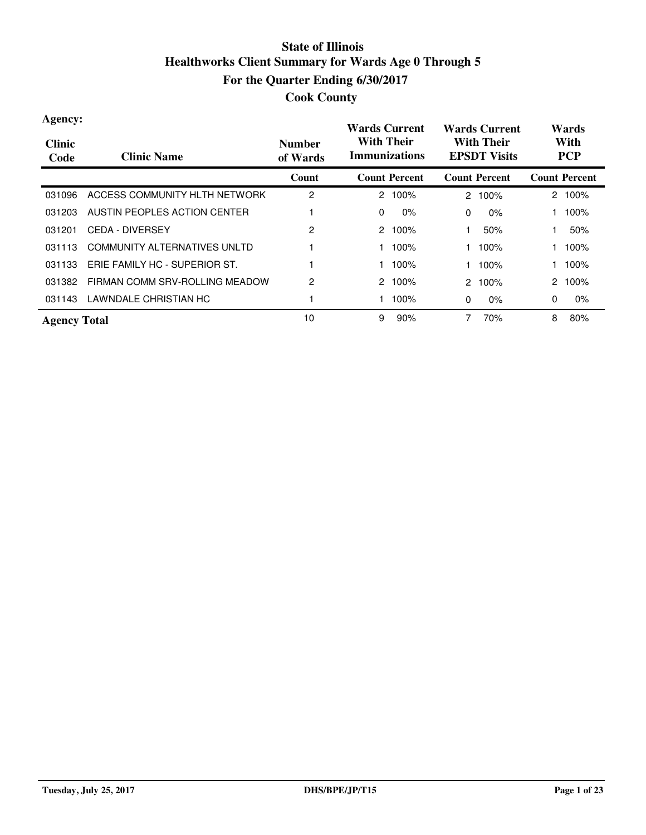| Agency:<br><b>Clinic</b><br>Code | <b>Clinic Name</b>             | <b>Number</b><br>of Wards | <b>Wards Current</b><br><b>With Their</b><br><b>Immunizations</b> | <b>Wards Current</b><br><b>With Their</b><br><b>EPSDT Visits</b> | Wards<br>With<br><b>PCP</b> |
|----------------------------------|--------------------------------|---------------------------|-------------------------------------------------------------------|------------------------------------------------------------------|-----------------------------|
|                                  |                                | Count                     | <b>Count Percent</b>                                              | <b>Count Percent</b>                                             | <b>Count Percent</b>        |
| 031096                           | ACCESS COMMUNITY HLTH NETWORK  | 2                         | $2.100\%$                                                         | 100%<br>$\mathbf{2}^{\circ}$                                     | 100%<br>2                   |
| 031203                           | AUSTIN PEOPLES ACTION CENTER   |                           | 0<br>$0\%$                                                        | 0%<br>$\Omega$                                                   | 100%                        |
| 031201                           | <b>CEDA - DIVERSEY</b>         | 2                         | 2<br>100%                                                         | 50%                                                              | 50%                         |
| 031113                           | COMMUNITY ALTERNATIVES UNLTD   |                           | 100%                                                              | 100%                                                             | 100%                        |
| 031133                           | ERIE FAMILY HC - SUPERIOR ST.  |                           | $100\%$                                                           | 100%                                                             | 100%                        |
| 031382                           | FIRMAN COMM SRV-ROLLING MEADOW | $\overline{c}$            | 2<br>100%                                                         | 2 100%                                                           | 100%<br>2                   |
| 031143                           | LAWNDALE CHRISTIAN HC          |                           | 100%                                                              | $0\%$<br>0                                                       | 0<br>$0\%$                  |
| <b>Agency Total</b>              |                                | 10                        | 9<br>90%                                                          | 70%<br>7                                                         | 8<br>80%                    |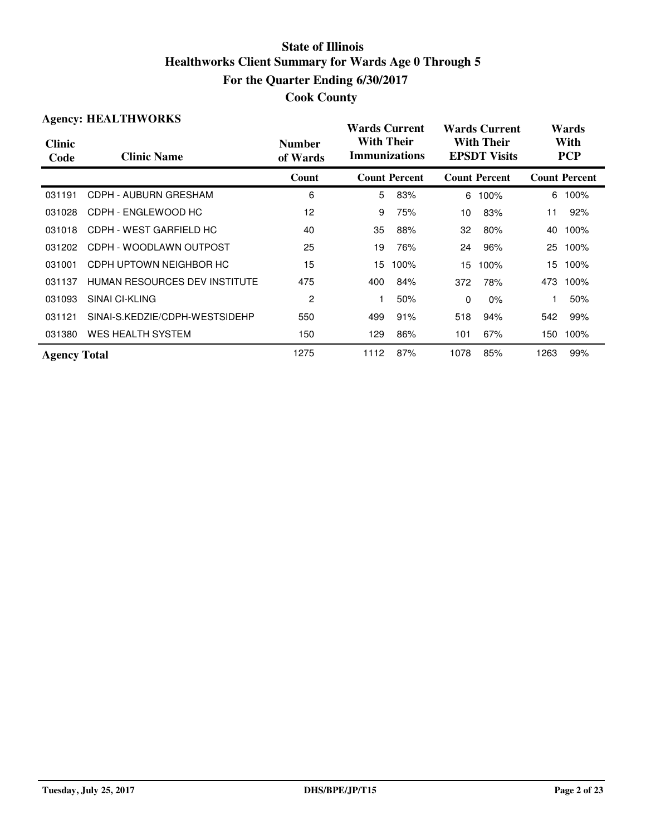| <b>Agency: HEALTHWORKS</b> |                                |                           | <b>Wards Current</b>                      |                      |                                          | <b>Wards Current</b> |      | Wards                |  |
|----------------------------|--------------------------------|---------------------------|-------------------------------------------|----------------------|------------------------------------------|----------------------|------|----------------------|--|
| <b>Clinic</b><br>Code      | <b>Clinic Name</b>             | <b>Number</b><br>of Wards | <b>With Their</b><br><b>Immunizations</b> |                      | <b>With Their</b><br><b>EPSDT Visits</b> |                      |      | With<br><b>PCP</b>   |  |
|                            |                                | Count                     |                                           | <b>Count Percent</b> |                                          | <b>Count Percent</b> |      | <b>Count Percent</b> |  |
| 031191                     | CDPH - AUBURN GRESHAM          | 6                         | 5                                         | 83%                  | 6                                        | 100%                 | 6    | 100%                 |  |
| 031028                     | CDPH - ENGLEWOOD HC            | 12                        | 9                                         | 75%                  | 10 <sup>1</sup>                          | 83%                  | 11   | 92%                  |  |
| 031018                     | CDPH - WEST GARFIELD HC        | 40                        | 35                                        | 88%                  | 32                                       | 80%                  | 40   | 100%                 |  |
| 031202                     | CDPH - WOODLAWN OUTPOST        | 25                        | 19                                        | 76%                  | 24                                       | 96%                  | 25   | 100%                 |  |
| 031001                     | CDPH UPTOWN NEIGHBOR HC        | 15                        | 15                                        | 100%                 | 15                                       | 100%                 | 15.  | 100%                 |  |
| 031137                     | HUMAN RESOURCES DEV INSTITUTE  | 475                       | 400                                       | 84%                  | 372                                      | 78%                  | 473  | 100%                 |  |
| 031093                     | SINAI CI-KLING                 | 2                         |                                           | 50%                  | 0                                        | $0\%$                |      | 50%                  |  |
| 031121                     | SINAI-S.KEDZIE/CDPH-WESTSIDEHP | 550                       | 499                                       | 91%                  | 518                                      | 94%                  | 542  | 99%                  |  |
| 031380                     | WES HEALTH SYSTEM              | 150                       | 129                                       | 86%                  | 101                                      | 67%                  | 150  | 100%                 |  |
| <b>Agency Total</b>        |                                | 1275                      | 1112                                      | 87%                  | 1078                                     | 85%                  | 1263 | 99%                  |  |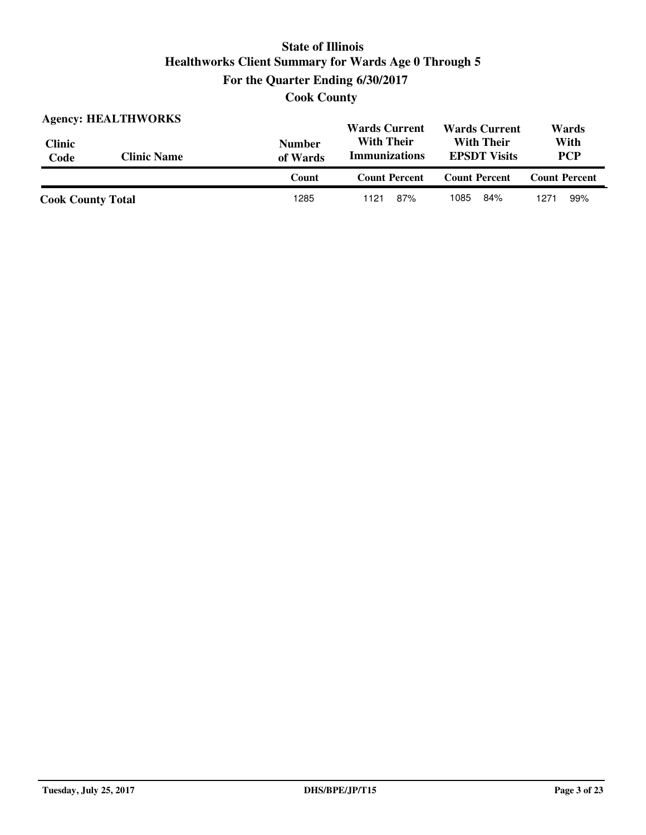**Cook County**

| <b>Agency: HEALTHWORKS</b> |                    |                           | <b>Wards Current</b>                      | <b>Wards Current</b>                     | Wards                |
|----------------------------|--------------------|---------------------------|-------------------------------------------|------------------------------------------|----------------------|
| <b>Clinic</b><br>Code      | <b>Clinic Name</b> | <b>Number</b><br>of Wards | <b>With Their</b><br><b>Immunizations</b> | <b>With Their</b><br><b>EPSDT</b> Visits |                      |
|                            |                    | Count                     | <b>Count Percent</b>                      | <b>Count Percent</b>                     | <b>Count Percent</b> |
| <b>Cook County Total</b>   |                    | 1285                      | 87%<br>1121                               | 1085<br>84%                              | 99%<br>1271          |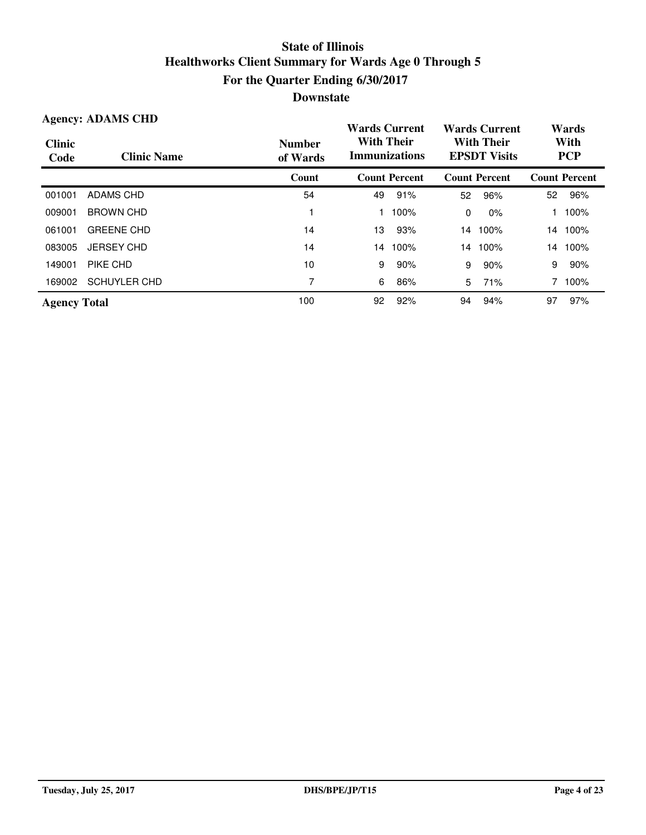| <b>Agency: ADAMS CHD</b> |                     |                           | <b>Wards Current</b>                      |                      |                                          | <b>Wards Current</b> | Wards              |                      |
|--------------------------|---------------------|---------------------------|-------------------------------------------|----------------------|------------------------------------------|----------------------|--------------------|----------------------|
| <b>Clinic</b><br>Code    | <b>Clinic Name</b>  | <b>Number</b><br>of Wards | <b>With Their</b><br><b>Immunizations</b> |                      | <b>With Their</b><br><b>EPSDT Visits</b> |                      | With<br><b>PCP</b> |                      |
|                          |                     | Count                     |                                           | <b>Count Percent</b> |                                          | <b>Count Percent</b> |                    | <b>Count Percent</b> |
| 001001                   | <b>ADAMS CHD</b>    | 54                        | 49                                        | 91%                  | 52                                       | 96%                  | 52                 | 96%                  |
| 009001                   | <b>BROWN CHD</b>    |                           |                                           | 100%                 | $\mathbf{0}$                             | $0\%$                |                    | 100%                 |
| 061001                   | <b>GREENE CHD</b>   | 14                        | 13                                        | 93%                  | 14                                       | 100%                 |                    | 14 100%              |
| 083005                   | <b>JERSEY CHD</b>   | 14                        | 14                                        | 100%                 | 14                                       | 100%                 |                    | 14 100%              |
| 149001                   | PIKE CHD            | 10                        | 9                                         | 90%                  | 9                                        | 90%                  | 9                  | 90%                  |
| 169002                   | <b>SCHUYLER CHD</b> | 7                         | 6                                         | 86%                  | 5                                        | 71%                  |                    | 100%                 |
| <b>Agency Total</b>      |                     | 100                       | 92                                        | 92%                  | 94                                       | 94%                  | 97                 | 97%                  |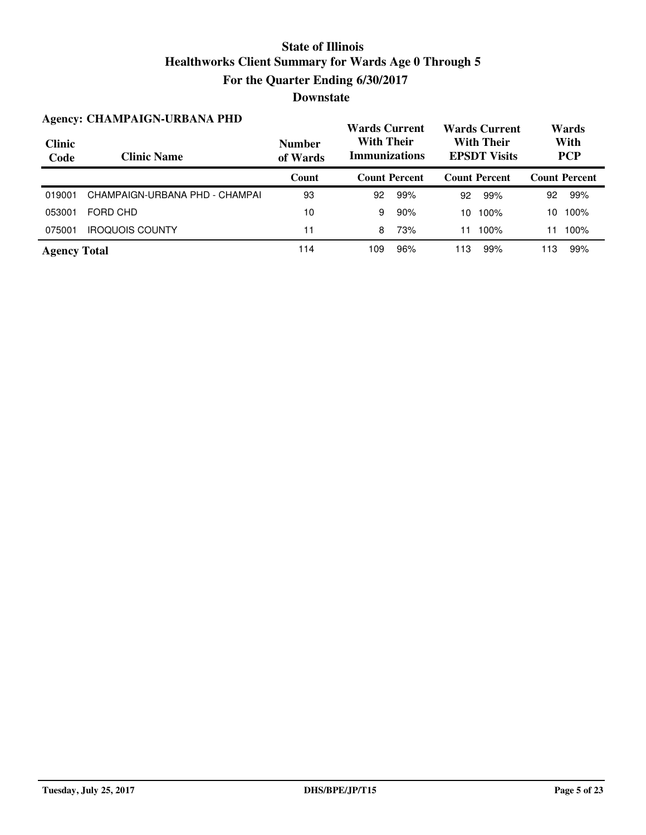|                       | <b>Agency: CHAMPAIGN-URBANA PHD</b> |                           |                                           | <b>Wards Current</b> |                                          | <b>Wards Current</b> |                    | Wards                |  |
|-----------------------|-------------------------------------|---------------------------|-------------------------------------------|----------------------|------------------------------------------|----------------------|--------------------|----------------------|--|
| <b>Clinic</b><br>Code | <b>Clinic Name</b>                  | <b>Number</b><br>of Wards | <b>With Their</b><br><b>Immunizations</b> |                      | <b>With Their</b><br><b>EPSDT Visits</b> |                      | With<br><b>PCP</b> |                      |  |
|                       |                                     | Count                     |                                           | <b>Count Percent</b> |                                          | <b>Count Percent</b> |                    | <b>Count Percent</b> |  |
| 019001                | CHAMPAIGN-URBANA PHD - CHAMPAI      | 93                        | 92                                        | 99%                  | 92                                       | 99%                  | 92                 | 99%                  |  |
| 053001                | FORD CHD                            | 10                        | 9                                         | 90%                  | 10                                       | 100%                 | 10                 | 100%                 |  |
| 075001                | <b>IROQUOIS COUNTY</b>              | 11                        | 8                                         | 73%                  | 11                                       | 100%                 | 11                 | 100%                 |  |
| <b>Agency Total</b>   |                                     | 114                       | 109                                       | 96%                  | 113                                      | 99%                  | 113                | 99%                  |  |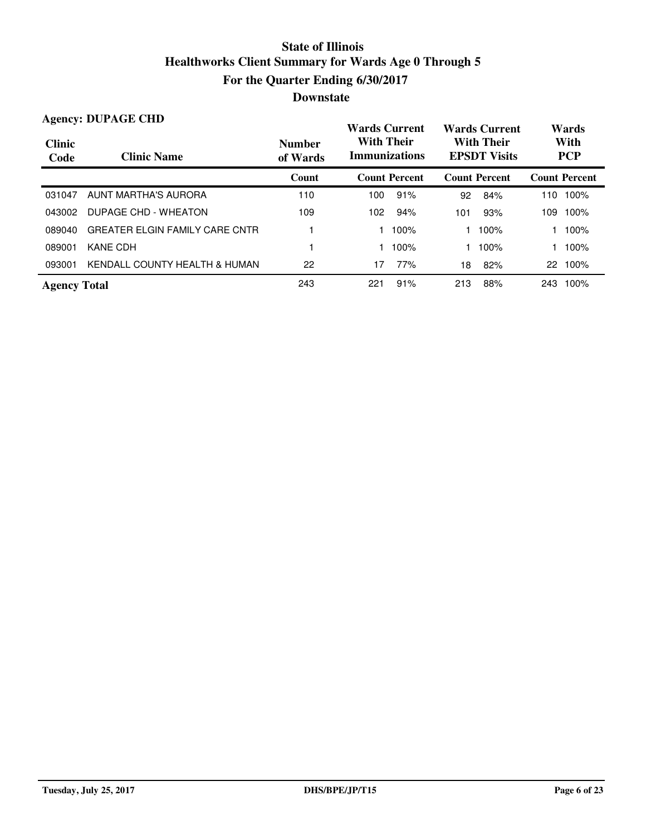|                       | <b>Agency: DUPAGE CHD</b>             |                           | <b>Wards Current</b>                      |                      | <b>Wards Current</b>                     |                      | Wards              |                      |
|-----------------------|---------------------------------------|---------------------------|-------------------------------------------|----------------------|------------------------------------------|----------------------|--------------------|----------------------|
| <b>Clinic</b><br>Code | <b>Clinic Name</b>                    | <b>Number</b><br>of Wards | <b>With Their</b><br><b>Immunizations</b> |                      | <b>With Their</b><br><b>EPSDT Visits</b> |                      | With<br><b>PCP</b> |                      |
|                       |                                       | Count                     |                                           | <b>Count Percent</b> |                                          | <b>Count Percent</b> |                    | <b>Count Percent</b> |
| 031047                | AUNT MARTHA'S AURORA                  | 110                       | 100                                       | 91%                  | 92                                       | 84%                  | 110                | 100%                 |
| 043002                | DUPAGE CHD - WHEATON                  | 109                       | 102                                       | 94%                  | 101                                      | 93%                  | 109                | 100%                 |
| 089040                | <b>GREATER ELGIN FAMILY CARE CNTR</b> |                           |                                           | 100%                 |                                          | 100%                 |                    | 100%                 |
| 089001                | <b>KANE CDH</b>                       |                           |                                           | 100%                 |                                          | 100%                 |                    | 100%                 |
| 093001                | KENDALL COUNTY HEALTH & HUMAN         | 22                        | 17                                        | 77%                  | 18                                       | 82%                  |                    | 22 100%              |
| <b>Agency Total</b>   |                                       | 243                       | 221                                       | 91%                  | 213                                      | 88%                  | 243                | 100%                 |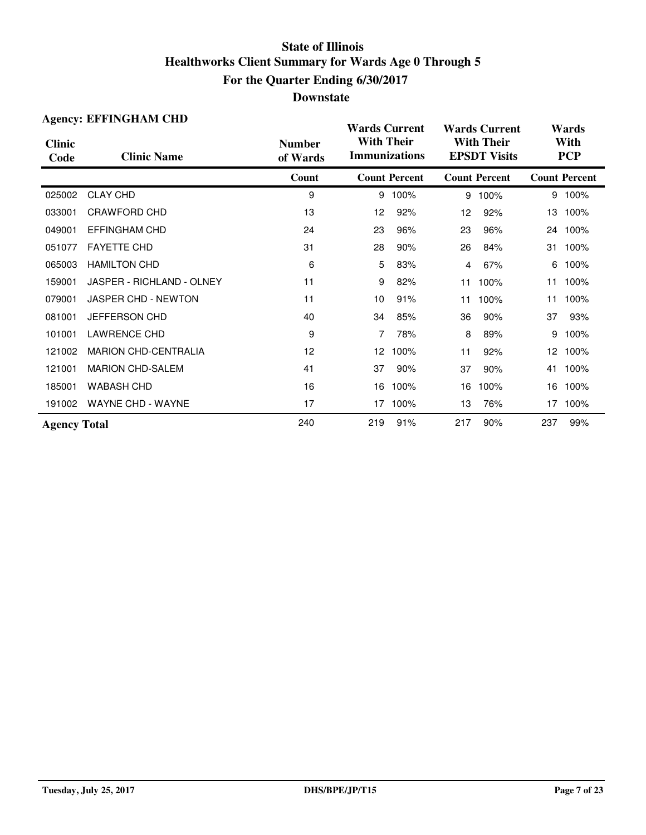| <b>Agency: EFFINGHAM CHD</b> |                             |                           | <b>Wards Current</b>                      |                      |                                          | <b>Wards Current</b> | Wards              |                      |  |
|------------------------------|-----------------------------|---------------------------|-------------------------------------------|----------------------|------------------------------------------|----------------------|--------------------|----------------------|--|
| <b>Clinic</b><br>Code        | <b>Clinic Name</b>          | <b>Number</b><br>of Wards | <b>With Their</b><br><b>Immunizations</b> |                      | <b>With Their</b><br><b>EPSDT Visits</b> |                      | With<br><b>PCP</b> |                      |  |
|                              |                             | Count                     |                                           | <b>Count Percent</b> |                                          | <b>Count Percent</b> |                    | <b>Count Percent</b> |  |
| 025002                       | <b>CLAY CHD</b>             | 9                         | 9                                         | 100%                 | 9                                        | 100%                 |                    | 9 100%               |  |
| 033001                       | CRAWFORD CHD                | 13                        | 12                                        | 92%                  | 12                                       | 92%                  | 13                 | 100%                 |  |
| 049001                       | <b>EFFINGHAM CHD</b>        | 24                        | 23                                        | 96%                  | 23                                       | 96%                  |                    | 24 100%              |  |
| 051077                       | <b>FAYETTE CHD</b>          | 31                        | 28                                        | 90%                  | 26                                       | 84%                  | 31                 | 100%                 |  |
| 065003                       | <b>HAMILTON CHD</b>         | 6                         | 5                                         | 83%                  | 4                                        | 67%                  | 6                  | 100%                 |  |
| 159001                       | JASPER - RICHLAND - OLNEY   | 11                        | 9                                         | 82%                  | 11                                       | 100%                 | 11                 | 100%                 |  |
| 079001                       | <b>JASPER CHD - NEWTON</b>  | 11                        | 10                                        | 91%                  | 11                                       | 100%                 | 11                 | 100%                 |  |
| 081001                       | JEFFERSON CHD               | 40                        | 34                                        | 85%                  | 36                                       | 90%                  | 37                 | 93%                  |  |
| 101001                       | <b>LAWRENCE CHD</b>         | 9                         | 7                                         | 78%                  | 8                                        | 89%                  | 9                  | 100%                 |  |
| 121002                       | <b>MARION CHD-CENTRALIA</b> | 12                        | 12 <sup>2</sup>                           | 100%                 | 11                                       | 92%                  | 12 <sup>2</sup>    | 100%                 |  |
| 121001                       | <b>MARION CHD-SALEM</b>     | 41                        | 37                                        | 90%                  | 37                                       | 90%                  | 41                 | 100%                 |  |
| 185001                       | <b>WABASH CHD</b>           | 16                        | 16                                        | 100%                 | 16                                       | 100%                 | 16                 | 100%                 |  |
| 191002                       | <b>WAYNE CHD - WAYNE</b>    | 17                        | 17                                        | 100%                 | 13                                       | 76%                  | 17                 | 100%                 |  |
| <b>Agency Total</b>          |                             | 240                       | 219                                       | 91%                  | 217                                      | 90%                  | 237                | 99%                  |  |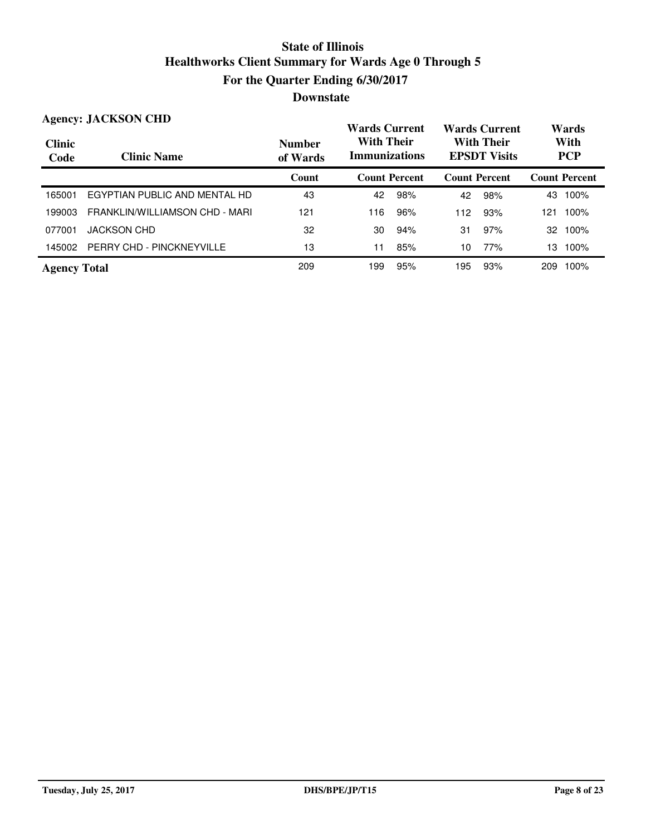| <b>Agency: JACKSON CHD</b> |                                  |                           | <b>Wards Current</b>                      |                      | <b>Wards Current</b> |                      | Wards                                    |                      |                    |  |
|----------------------------|----------------------------------|---------------------------|-------------------------------------------|----------------------|----------------------|----------------------|------------------------------------------|----------------------|--------------------|--|
| <b>Clinic</b><br>Code      | <b>Clinic Name</b>               | <b>Number</b><br>of Wards | <b>With Their</b><br><b>Immunizations</b> |                      |                      |                      | <b>With Their</b><br><b>EPSDT Visits</b> |                      | With<br><b>PCP</b> |  |
|                            |                                  | Count                     |                                           | <b>Count Percent</b> |                      | <b>Count Percent</b> |                                          | <b>Count Percent</b> |                    |  |
| 165001                     | EGYPTIAN PUBLIC AND MENTAL HD    | 43                        | 42                                        | 98%                  | 42                   | 98%                  | 43                                       | 100%                 |                    |  |
| 199003                     | FRANKLIN/WILLIAMSON CHD - MARI   | 121                       | 116                                       | 96%                  | 112                  | 93%                  | 121                                      | 100%                 |                    |  |
| 077001                     | <b>JACKSON CHD</b>               | 32                        | 30                                        | 94%                  | 31                   | 97%                  | 32                                       | 100%                 |                    |  |
| 145002                     | <b>PERRY CHD - PINCKNEYVILLE</b> | 13                        | 11                                        | 85%                  | 10                   | 77%                  | 13.                                      | 100%                 |                    |  |
| <b>Agency Total</b>        |                                  | 209                       | 199                                       | 95%                  | 195                  | 93%                  | 209                                      | 100%                 |                    |  |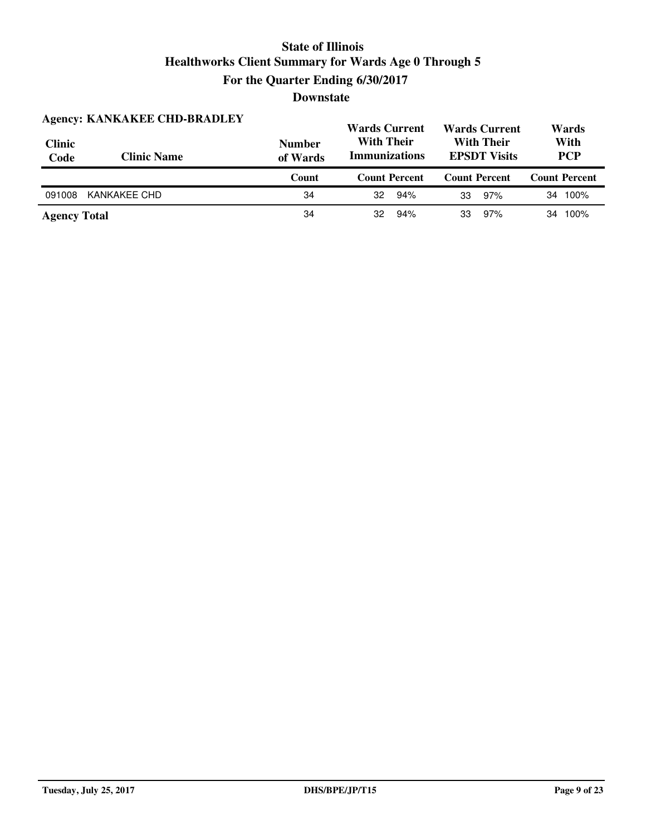|                       | <b>Agency: KANKAKEE CHD-BRADLEY</b> |                           | <b>Wards Current</b>                                                                  | <b>Wards Current</b> | Wards                |  |
|-----------------------|-------------------------------------|---------------------------|---------------------------------------------------------------------------------------|----------------------|----------------------|--|
| <b>Clinic</b><br>Code | <b>Clinic Name</b>                  | <b>Number</b><br>of Wards | <b>With Their</b><br><b>With Their</b><br><b>Immunizations</b><br><b>EPSDT Visits</b> |                      | With<br><b>PCP</b>   |  |
|                       |                                     |                           |                                                                                       |                      |                      |  |
|                       |                                     | Count                     | <b>Count Percent</b>                                                                  | <b>Count Percent</b> | <b>Count Percent</b> |  |
| 091008                | KANKAKEE CHD                        | 34                        | 32<br>94%                                                                             | 97%<br>33            | 100%<br>34           |  |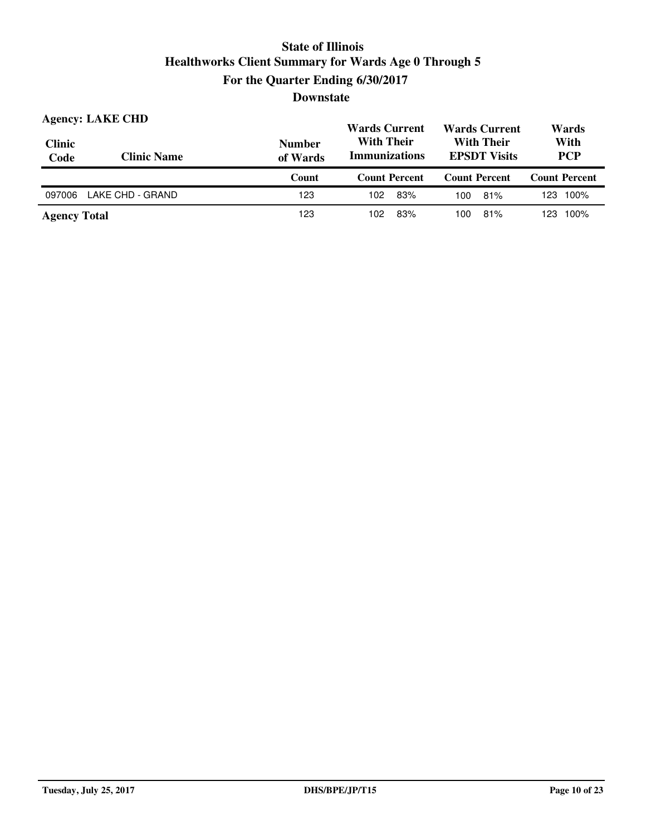| <b>Clinic</b><br>Code | <b>Agency: LAKE CHD</b><br><b>Clinic Name</b> | <b>Number</b><br>of Wards | <b>Wards Current</b><br><b>Wards Current</b><br><b>With Their</b><br><b>With Their</b><br><b>Immunizations</b><br><b>EPSDT Visits</b> |                      | Wards<br>With<br><b>PCP</b> |
|-----------------------|-----------------------------------------------|---------------------------|---------------------------------------------------------------------------------------------------------------------------------------|----------------------|-----------------------------|
|                       |                                               | Count                     | <b>Count Percent</b>                                                                                                                  | <b>Count Percent</b> | <b>Count Percent</b>        |
|                       |                                               |                           |                                                                                                                                       |                      |                             |
| 097006                | LAKE CHD - GRAND                              | 123                       | 83%<br>102                                                                                                                            | 81%<br>100           | 123 100%                    |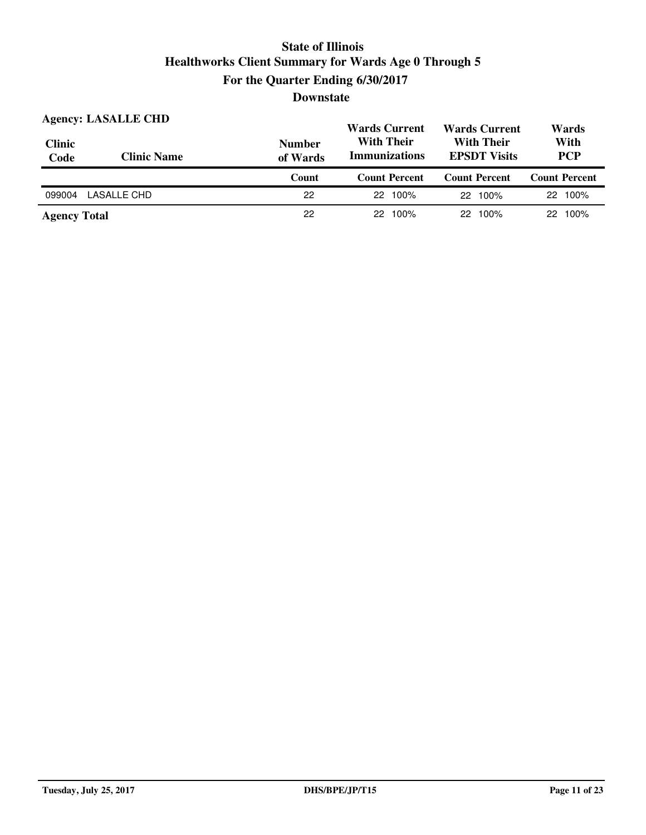| <b>Clinic</b><br>Code | <b>Agency: LASALLE CHD</b><br><b>Clinic Name</b> | <b>Number</b><br>of Wards | <b>Wards Current</b><br><b>With Their</b><br><b>Immunizations</b> | <b>Wards Current</b><br><b>With Their</b><br><b>EPSDT Visits</b> |                      |
|-----------------------|--------------------------------------------------|---------------------------|-------------------------------------------------------------------|------------------------------------------------------------------|----------------------|
|                       |                                                  | Count                     | <b>Count Percent</b>                                              | <b>Count Percent</b>                                             | <b>Count Percent</b> |
|                       |                                                  |                           |                                                                   |                                                                  |                      |
| 099004                | LASALLE CHD                                      | 22                        | 100%<br>22                                                        | 22 100%                                                          | 22 100%              |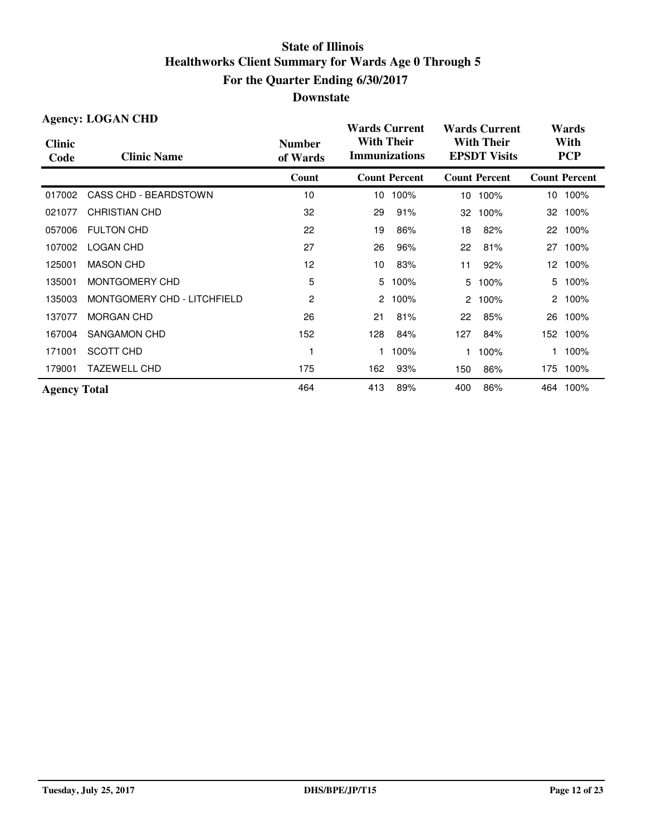|                       | <b>Agency: LOGAN CHD</b>    |                           | <b>Wards Current</b>                      |                      |                      | <b>Wards Current</b>                     |                    | Wards                |  |
|-----------------------|-----------------------------|---------------------------|-------------------------------------------|----------------------|----------------------|------------------------------------------|--------------------|----------------------|--|
| <b>Clinic</b><br>Code | <b>Clinic Name</b>          | <b>Number</b><br>of Wards | <b>With Their</b><br><b>Immunizations</b> |                      |                      | <b>With Their</b><br><b>EPSDT Visits</b> | With<br><b>PCP</b> |                      |  |
|                       |                             | Count                     |                                           | <b>Count Percent</b> |                      | <b>Count Percent</b>                     |                    | <b>Count Percent</b> |  |
| 017002                | CASS CHD - BEARDSTOWN       | 10                        | 10                                        | 100%                 | 10 <sup>°</sup>      | 100%                                     |                    | 10 100%              |  |
| 021077                | <b>CHRISTIAN CHD</b>        | 32                        | 29                                        | 91%                  | 32                   | 100%                                     | 32                 | 100%                 |  |
| 057006                | <b>FULTON CHD</b>           | 22                        | 19                                        | 86%                  | 18                   | 82%                                      | 22                 | 100%                 |  |
| 107002                | <b>LOGAN CHD</b>            | 27                        | 26                                        | 96%                  | 22                   | 81%                                      | 27                 | 100%                 |  |
| 125001                | <b>MASON CHD</b>            | 12                        | 10                                        | 83%                  | 11                   | 92%                                      | 12 <sup>12</sup>   | 100%                 |  |
| 135001                | MONTGOMERY CHD              | 5                         | 5                                         | 100%                 | 5                    | 100%                                     | 5.                 | 100%                 |  |
| 135003                | MONTGOMERY CHD - LITCHFIELD | 2                         | 2                                         | 100%                 | $\mathbf{2}^{\circ}$ | 100%                                     |                    | 2 100%               |  |
| 137077                | <b>MORGAN CHD</b>           | 26                        | 21                                        | 81%                  | 22                   | 85%                                      | 26                 | 100%                 |  |
| 167004                | SANGAMON CHD                | 152                       | 128                                       | 84%                  | 127                  | 84%                                      |                    | 152 100%             |  |
| 171001                | SCOTT CHD                   |                           |                                           | 100%                 | 1.                   | 100%                                     |                    | 100%                 |  |
| 179001                | <b>TAZEWELL CHD</b>         | 175                       | 162                                       | 93%                  | 150                  | 86%                                      |                    | 175 100%             |  |
| <b>Agency Total</b>   |                             | 464                       | 413                                       | 89%                  | 400                  | 86%                                      |                    | 464 100%             |  |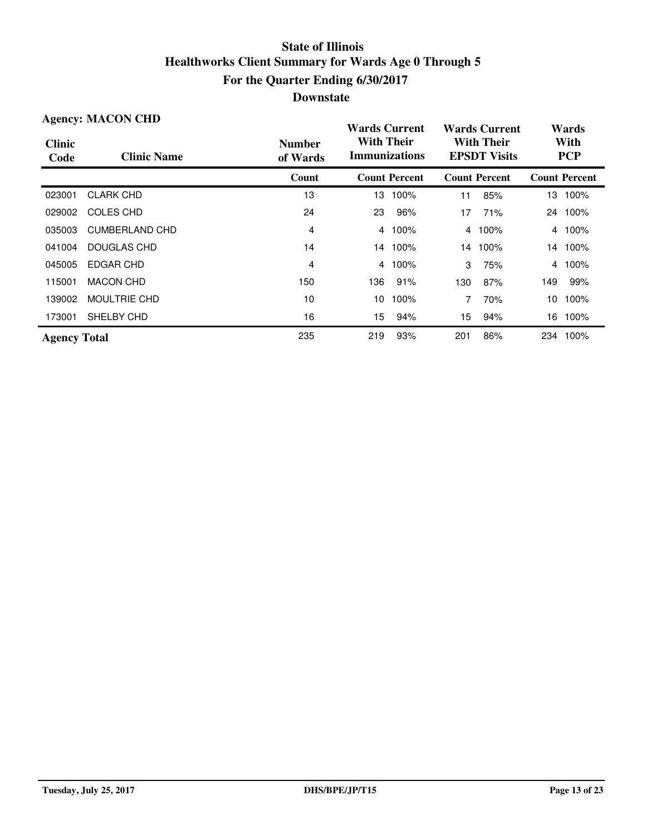| <b>Agency: MACON CHD</b> |                       |                           | <b>Wards Current</b>                      |                      | <b>Wards Current</b> |                                          | Wards |                      |  |
|--------------------------|-----------------------|---------------------------|-------------------------------------------|----------------------|----------------------|------------------------------------------|-------|----------------------|--|
| <b>Clinic</b><br>Code    | <b>Clinic Name</b>    | <b>Number</b><br>of Wards | <b>With Their</b><br><b>Immunizations</b> |                      |                      | <b>With Their</b><br><b>EPSDT Visits</b> |       | With<br><b>PCP</b>   |  |
|                          |                       | Count                     |                                           | <b>Count Percent</b> |                      | <b>Count Percent</b>                     |       | <b>Count Percent</b> |  |
| 023001                   | <b>CLARK CHD</b>      | 13                        | 13.                                       | 100%                 | 11                   | 85%                                      |       | 13 100%              |  |
| 029002                   | COLES CHD             | 24                        | 23                                        | 96%                  | 17                   | 71%                                      |       | 24 100%              |  |
| 035003                   | <b>CUMBERLAND CHD</b> | 4                         | 4                                         | 100%                 | 4                    | 100%                                     | 4     | 100%                 |  |
| 041004                   | <b>DOUGLAS CHD</b>    | 14                        |                                           | 14 100%              | 14                   | 100%                                     |       | 14 100%              |  |
| 045005                   | EDGAR CHD             | 4                         | 4                                         | 100%                 | 3                    | 75%                                      | 4     | 100%                 |  |
| 115001                   | <b>MACON CHD</b>      | 150                       | 136                                       | 91%                  | 130                  | 87%                                      | 149   | 99%                  |  |
| 139002                   | <b>MOULTRIE CHD</b>   | 10                        | 10                                        | 100%                 |                      | 70%                                      | 10    | 100%                 |  |
| 173001                   | SHELBY CHD            | 16                        | 15                                        | 94%                  | 15                   | 94%                                      | 16    | 100%                 |  |
| <b>Agency Total</b>      |                       | 235                       | 219                                       | 93%                  | 201                  | 86%                                      | 234   | 100%                 |  |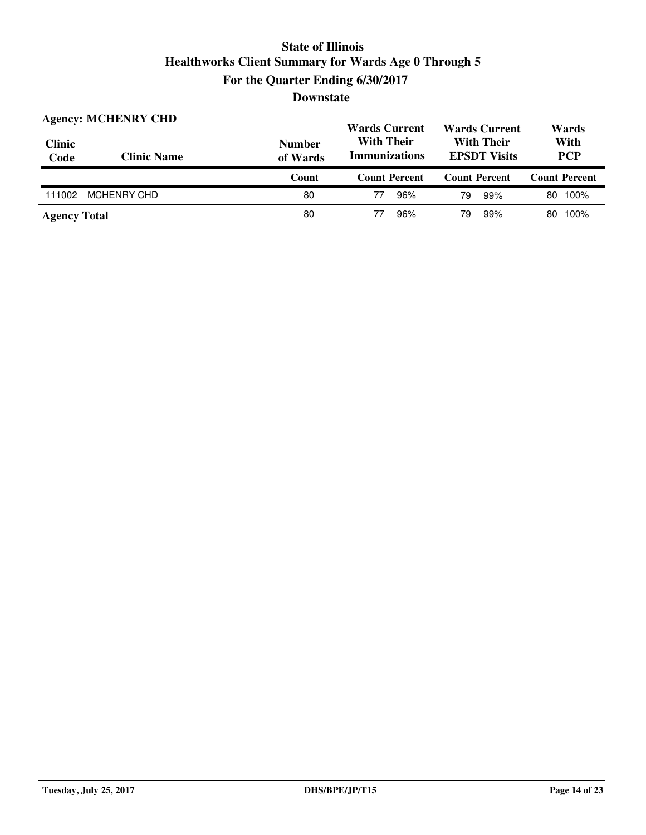| <b>Clinic</b><br>Code | <b>Agency: MCHENRY CHD</b><br><b>Clinic Name</b> | <b>Number</b><br>of Wards | <b>Wards Current</b><br><b>Wards Current</b><br><b>With Their</b><br><b>With Their</b><br><b>Immunizations</b><br><b>EPSDT Visits</b> |                      | Wards<br>With<br><b>PCP</b> |  |
|-----------------------|--------------------------------------------------|---------------------------|---------------------------------------------------------------------------------------------------------------------------------------|----------------------|-----------------------------|--|
|                       |                                                  | Count                     | <b>Count Percent</b>                                                                                                                  | <b>Count Percent</b> | <b>Count Percent</b>        |  |
| 111002                | <b>MCHENRY CHD</b>                               | 80                        | 96%<br>77                                                                                                                             | 99%<br>79            | 100%<br>80                  |  |
| <b>Agency Total</b>   |                                                  | 80                        | 96%                                                                                                                                   | 99%<br>79            | 100%<br>80.                 |  |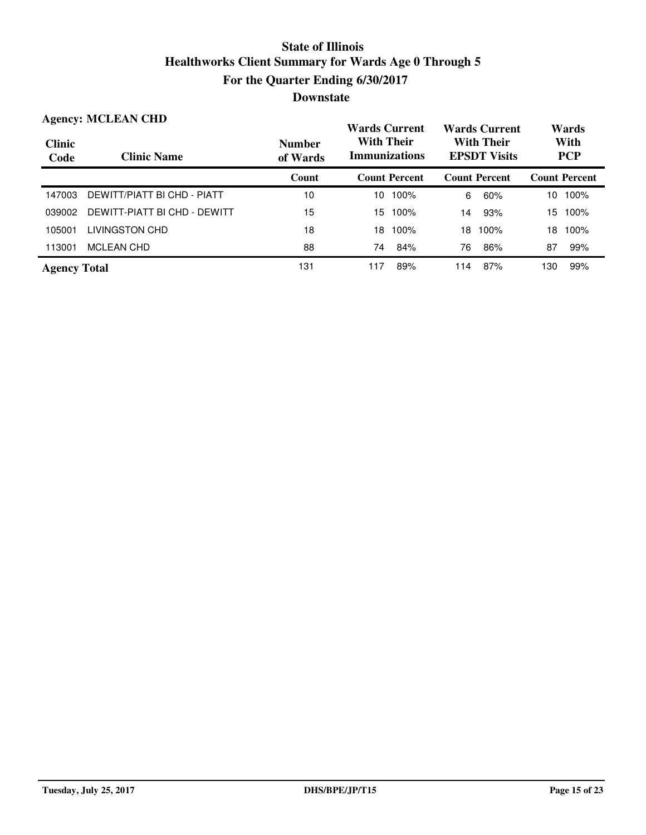|                       | <b>Agency: MCLEAN CHD</b>    |                           | <b>Wards Current</b>                      |            | <b>Wards Current</b>                     |     | Wards                |  |                    |  |
|-----------------------|------------------------------|---------------------------|-------------------------------------------|------------|------------------------------------------|-----|----------------------|--|--------------------|--|
| <b>Clinic</b><br>Code | <b>Clinic Name</b>           | <b>Number</b><br>of Wards | <b>With Their</b><br><b>Immunizations</b> |            | <b>With Their</b><br><b>EPSDT Visits</b> |     |                      |  | With<br><b>PCP</b> |  |
|                       |                              | Count                     | <b>Count Percent</b>                      |            | <b>Count Percent</b>                     |     | <b>Count Percent</b> |  |                    |  |
| 147003                | DEWITT/PIATT BI CHD - PIATT  | 10                        | 100%<br>10                                | 6          | 60%                                      | 10  | 100%                 |  |                    |  |
| 039002                | DEWITT-PIATT BI CHD - DEWITT | 15                        | 15.<br>100%                               | 14         | 93%                                      | 15  | 100%                 |  |                    |  |
| 105001                | LIVINGSTON CHD               | 18                        | 100%<br>18                                | 18         | 100%                                     | 18  | 100%                 |  |                    |  |
| 113001                | <b>MCLEAN CHD</b>            | 88                        | 84%<br>74                                 | 76         | 86%                                      | 87  | 99%                  |  |                    |  |
| <b>Agency Total</b>   |                              | 131                       | 117                                       | 89%<br>114 | 87%                                      | 130 | 99%                  |  |                    |  |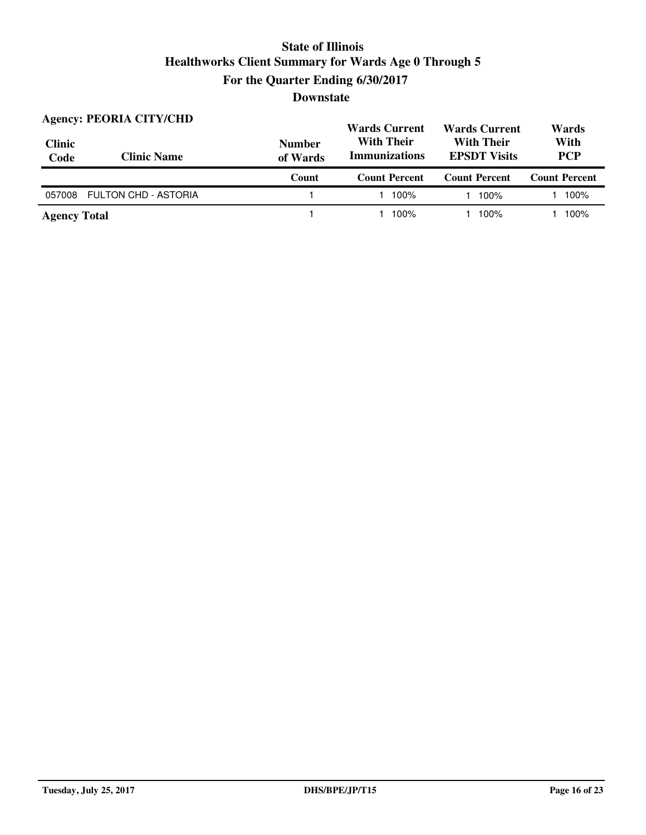| <b>Clinic</b><br>Code | <b>Agency: PEORIA CITY/CHD</b><br><b>Clinic Name</b> | <b>Wards Current</b><br><b>With Their</b><br><b>Number</b><br><b>Immunizations</b><br>of Wards |                      | <b>Wards Current</b><br><b>With Their</b><br><b>EPSDT Visits</b> | Wards<br>With<br><b>PCP</b> |  |
|-----------------------|------------------------------------------------------|------------------------------------------------------------------------------------------------|----------------------|------------------------------------------------------------------|-----------------------------|--|
|                       |                                                      | Count                                                                                          | <b>Count Percent</b> | <b>Count Percent</b>                                             | <b>Count Percent</b>        |  |
| 057008                | <b>FULTON CHD - ASTORIA</b>                          |                                                                                                | 100%                 | 100%                                                             | 100%                        |  |
| <b>Agency Total</b>   |                                                      |                                                                                                | 100%                 | 100%                                                             | 100%                        |  |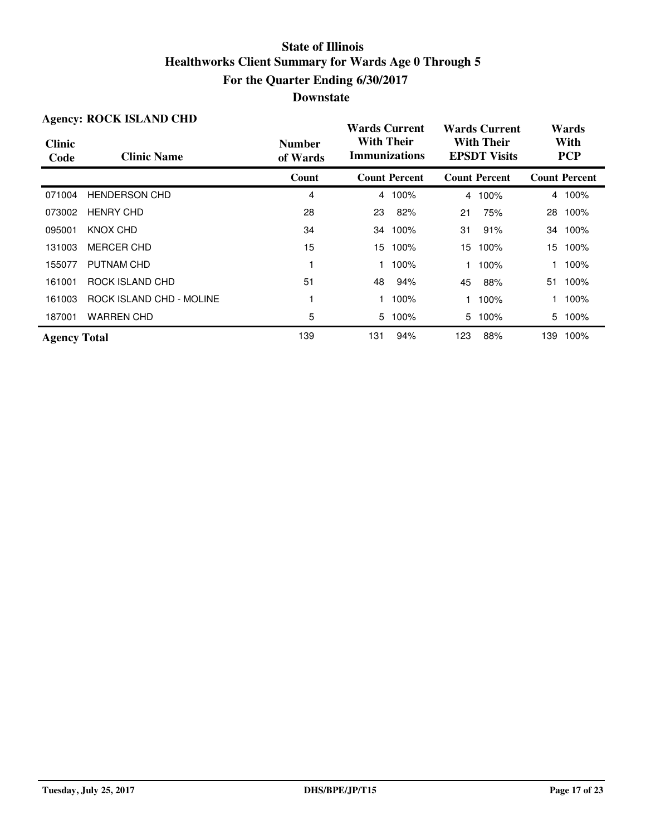|                       | <b>Agency: ROCK ISLAND CHD</b> |                           | <b>Wards Current</b>                      |                      |                | <b>Wards Current</b>                     |     | Wards                |
|-----------------------|--------------------------------|---------------------------|-------------------------------------------|----------------------|----------------|------------------------------------------|-----|----------------------|
| <b>Clinic</b><br>Code | <b>Clinic Name</b>             | <b>Number</b><br>of Wards | <b>With Their</b><br><b>Immunizations</b> |                      |                | <b>With Their</b><br><b>EPSDT</b> Visits |     | With<br><b>PCP</b>   |
|                       |                                | Count                     |                                           | <b>Count Percent</b> |                | <b>Count Percent</b>                     |     | <b>Count Percent</b> |
| 071004                | <b>HENDERSON CHD</b>           | 4                         | $\overline{4}$                            | 100%                 | $\overline{4}$ | 100%                                     |     | 4 100%               |
| 073002                | <b>HENRY CHD</b>               | 28                        | 23                                        | 82%                  | 21             | 75%                                      | 28  | 100%                 |
| 095001                | KNOX CHD                       | 34                        | 34                                        | 100%                 | 31             | 91%                                      | 34  | 100%                 |
| 131003                | <b>MERCER CHD</b>              | 15                        | 15                                        | 100%                 | 15             | 100%                                     | 15  | 100%                 |
| 155077                | PUTNAM CHD                     |                           |                                           | 100%                 |                | 100%                                     |     | 100%                 |
| 161001                | ROCK ISLAND CHD                | 51                        | 48                                        | 94%                  | 45             | 88%                                      | 51  | 100%                 |
| 161003                | ROCK ISLAND CHD - MOLINE       |                           |                                           | 100%                 |                | 100%                                     |     | 100%                 |
| 187001                | <b>WARREN CHD</b>              | 5                         | 5                                         | 100%                 | 5              | 100%                                     | 5   | 100%                 |
| <b>Agency Total</b>   |                                | 139                       | 131                                       | 94%                  | 123            | 88%                                      | 139 | 100%                 |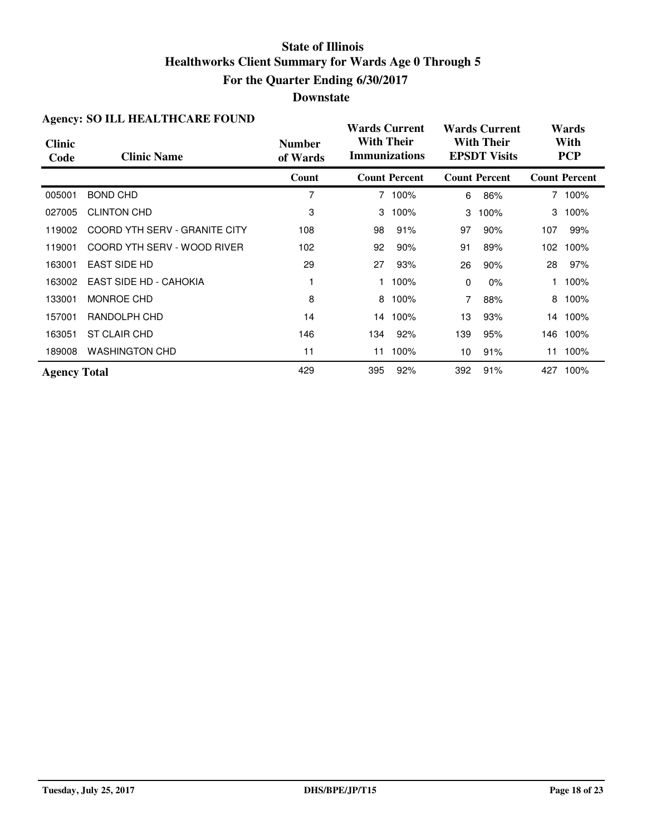#### **Downstate**

|                       | Agency. BO TELL HEALTHCARE FOUND |                           | <b>Wards Current</b> |                      |     | <b>Wards Current</b>                     |     | Wards                |
|-----------------------|----------------------------------|---------------------------|----------------------|----------------------|-----|------------------------------------------|-----|----------------------|
| <b>Clinic</b><br>Code | <b>Clinic Name</b>               | <b>Number</b><br>of Wards | <b>With Their</b>    | <b>Immunizations</b> |     | <b>With Their</b><br><b>EPSDT Visits</b> |     | With<br><b>PCP</b>   |
|                       |                                  | Count                     |                      | <b>Count Percent</b> |     | <b>Count Percent</b>                     |     | <b>Count Percent</b> |
| 005001                | <b>BOND CHD</b>                  | 7                         |                      | 7 100%               | 6   | 86%                                      |     | 7 100%               |
| 027005                | <b>CLINTON CHD</b>               | 3                         | 3                    | 100%                 | 3   | 100%                                     | 3   | 100%                 |
| 119002                | COORD YTH SERV - GRANITE CITY    | 108                       | 98                   | 91%                  | 97  | 90%                                      | 107 | 99%                  |
| 119001                | COORD YTH SERV - WOOD RIVER      | 102                       | 92                   | 90%                  | 91  | 89%                                      |     | 102 100%             |
| 163001                | <b>EAST SIDE HD</b>              | 29                        | 27                   | 93%                  | 26  | 90%                                      | 28  | 97%                  |
| 163002                | EAST SIDE HD - CAHOKIA           |                           |                      | 100%                 | 0   | $0\%$                                    |     | 100%                 |
| 133001                | MONROE CHD                       | 8                         | 8                    | 100%                 |     | 88%                                      |     | 8 100%               |
| 157001                | RANDOLPH CHD                     | 14                        | 14                   | 100%                 | 13  | 93%                                      |     | 14 100%              |
| 163051                | <b>ST CLAIR CHD</b>              | 146                       | 134                  | 92%                  | 139 | 95%                                      | 146 | 100%                 |
| 189008                | <b>WASHINGTON CHD</b>            | 11                        | 11                   | 100%                 | 10  | 91%                                      | 11  | 100%                 |
| <b>Agency Total</b>   |                                  | 429                       | 395                  | 92%                  | 392 | 91%                                      |     | 427 100%             |

#### **Agency: SO ILL HEALTHCARE FOUND**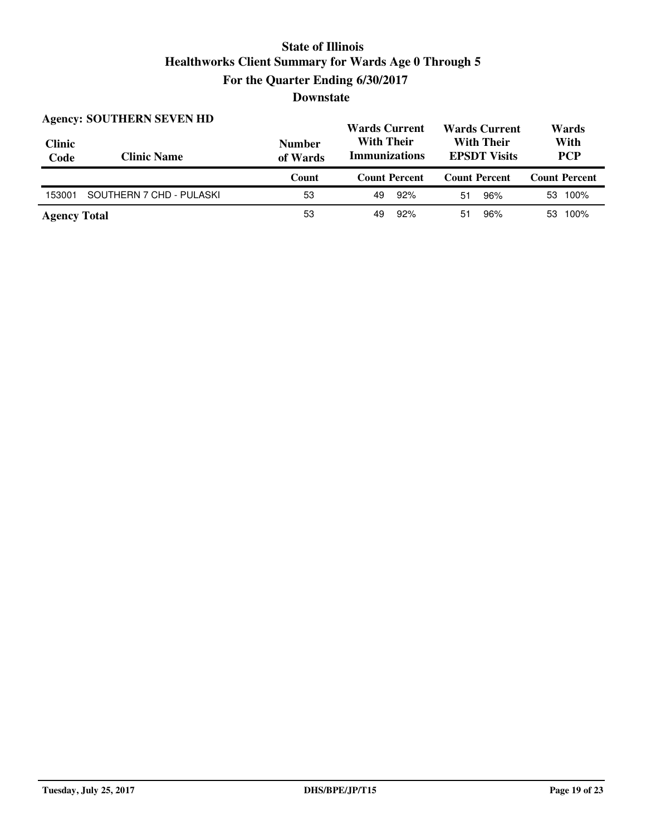| <b>Clinic</b><br>Code | <b>Agency: SOUTHERN SEVEN HD</b><br><b>Clinic Name</b> | <b>Number</b><br>of Wards | <b>Wards Current</b><br><b>With Their</b><br><b>Immunizations</b> | <b>Wards Current</b><br><b>With Their</b><br><b>EPSDT Visits</b> | Wards<br>With<br><b>PCP</b> |  |
|-----------------------|--------------------------------------------------------|---------------------------|-------------------------------------------------------------------|------------------------------------------------------------------|-----------------------------|--|
|                       |                                                        |                           |                                                                   |                                                                  |                             |  |
|                       |                                                        | Count                     | <b>Count Percent</b>                                              | <b>Count Percent</b>                                             | <b>Count Percent</b>        |  |
| 153001                | SOUTHERN 7 CHD - PULASKI                               | 53                        | 92%<br>49                                                         | 96%<br>51                                                        | 53 100%                     |  |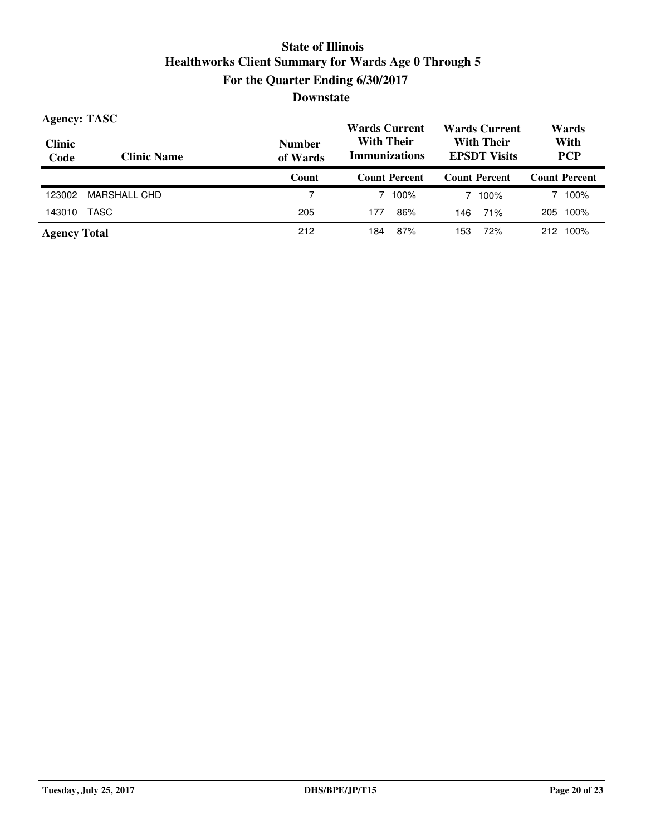| <b>Agency: TASC</b>   |                    |                           | <b>Wards Current</b>                                                                  | <b>Wards Current</b> | Wards                |  |
|-----------------------|--------------------|---------------------------|---------------------------------------------------------------------------------------|----------------------|----------------------|--|
| <b>Clinic</b><br>Code | <b>Clinic Name</b> | <b>Number</b><br>of Wards | <b>With Their</b><br><b>With Their</b><br><b>Immunizations</b><br><b>EPSDT Visits</b> |                      | With<br><b>PCP</b>   |  |
|                       |                    | Count                     | <b>Count Percent</b>                                                                  | <b>Count Percent</b> | <b>Count Percent</b> |  |
| 123002                | MARSHALL CHD       |                           | 100%                                                                                  | 7 100%               | 100%                 |  |
| 143010                | TASC               | 205                       | 86%<br>177                                                                            | 71%<br>146           | 100%<br>205          |  |
| <b>Agency Total</b>   |                    | 212                       | 87%<br>184                                                                            | 72%<br>153           | 212 100%             |  |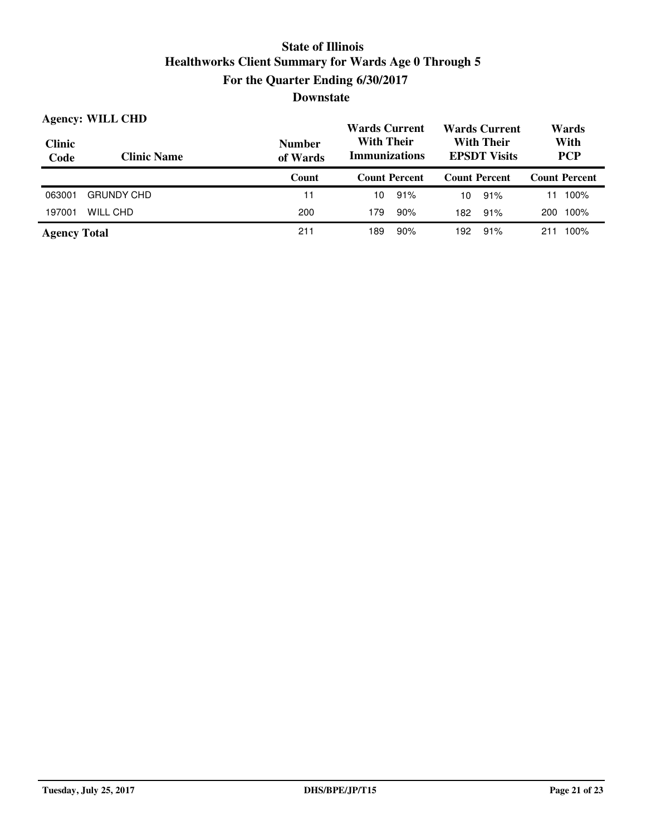| <b>Clinic</b><br>Code | <b>Agency: WILL CHD</b><br><b>Clinic Name</b> | <b>Number</b><br>of Wards | <b>Wards Current</b><br><b>Wards Current</b><br><b>With Their</b><br><b>With Their</b><br><b>Immunizations</b><br><b>EPSDT</b> Visits |                      | Wards<br>With<br><b>PCP</b> |
|-----------------------|-----------------------------------------------|---------------------------|---------------------------------------------------------------------------------------------------------------------------------------|----------------------|-----------------------------|
|                       |                                               | Count                     | <b>Count Percent</b>                                                                                                                  | <b>Count Percent</b> | <b>Count Percent</b>        |
| 063001                | <b>GRUNDY CHD</b>                             | 11                        | 91%<br>10                                                                                                                             | 91%<br>10            | 100%<br>11                  |
| 197001                | WILL CHD                                      | 200                       | 90%<br>179                                                                                                                            | 91%<br>182           | 100%<br>200                 |
| <b>Agency Total</b>   |                                               | 211                       | 90%<br>189                                                                                                                            | 91%<br>192           | 100%<br>211                 |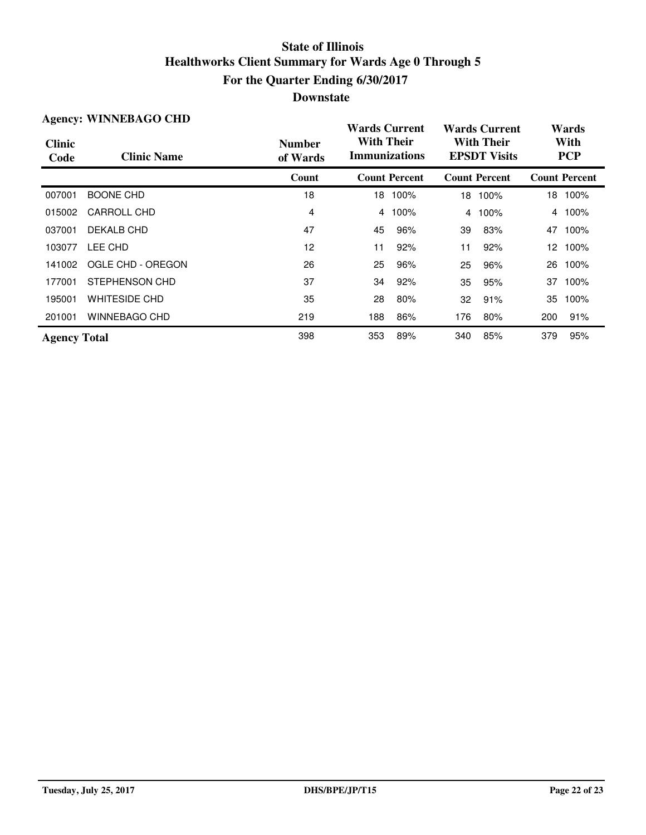| <b>Agency: WINNEBAGO CHD</b> |                      |                           | <b>Wards Current</b>                      |                      | <b>Wards Current</b>                     |                      | Wards              |                      |
|------------------------------|----------------------|---------------------------|-------------------------------------------|----------------------|------------------------------------------|----------------------|--------------------|----------------------|
| <b>Clinic</b><br>Code        | <b>Clinic Name</b>   | <b>Number</b><br>of Wards | <b>With Their</b><br><b>Immunizations</b> |                      | <b>With Their</b><br><b>EPSDT Visits</b> |                      | With<br><b>PCP</b> |                      |
|                              |                      | Count                     |                                           | <b>Count Percent</b> |                                          | <b>Count Percent</b> |                    | <b>Count Percent</b> |
| 007001                       | <b>BOONE CHD</b>     | 18                        |                                           | 18 100%              | 18                                       | 100%                 |                    | 18 100%              |
| 015002                       | CARROLL CHD          | 4                         | 4                                         | 100%                 | $\overline{4}$                           | 100%                 |                    | 4 100%               |
| 037001                       | DEKALB CHD           | 47                        | 45                                        | 96%                  | 39                                       | 83%                  | 47                 | 100%                 |
| 103077                       | LEE CHD              | 12                        | 11                                        | 92%                  | 11                                       | 92%                  | 12                 | 100%                 |
| 141002                       | OGLE CHD - OREGON    | 26                        | 25                                        | 96%                  | 25                                       | 96%                  | 26                 | 100%                 |
| 177001                       | STEPHENSON CHD       | 37                        | 34                                        | 92%                  | 35                                       | 95%                  | 37                 | 100%                 |
| 195001                       | <b>WHITESIDE CHD</b> | 35                        | 28                                        | 80%                  | 32                                       | 91%                  | 35                 | 100%                 |
| 201001                       | WINNEBAGO CHD        | 219                       | 188                                       | 86%                  | 176                                      | 80%                  | 200                | 91%                  |
| <b>Agency Total</b>          |                      | 398                       | 353                                       | 89%                  | 340                                      | 85%                  | 379                | 95%                  |